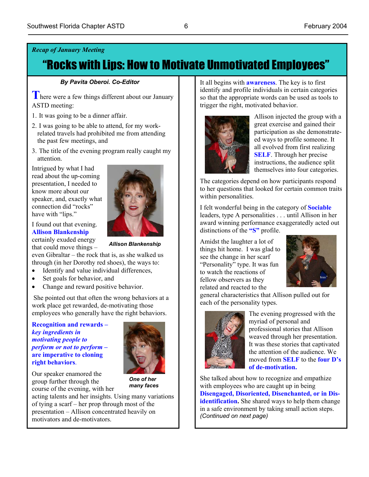### *Recap of January Meeting*

# "Rocks with Lips: How to Motivate Unmotivated Employees"

#### *By Pavita Oberoi. Co-Editor*

**T** here were a few things different about our January ASTD meeting:

- 1. It was going to be a dinner affair.
- 2. I was going to be able to attend, for my workrelated travels had prohibited me from attending the past few meetings, and
- 3. The title of the evening program really caught my attention.

Intrigued by what I had read about the up-coming presentation, I needed to know more about our speaker, and, exactly what connection did "rocks" have with "lips."

certainly exuded energy I found out that evening. **Allison Blankenship** that could move things –

 *Allison Blankenship* 

even Gibraltar – the rock that is, as she walked us through (in her Dorothy red shoes), the ways to:

- Identify and value individual differences,
- Set goals for behavior, and
- Change and reward positive behavior.

 She pointed out that often the wrong behaviors at a work place get rewarded, de-motivating those employees who generally have the right behaviors.

**Recognition and rewards –**  *key ingredients in motivating people to perform or not to perform –*  **are imperative to cloning right behaviors**.



Our speaker enamored the group further through the course of the evening, with her

*One of her many faces*

acting talents and her insights. Using many variations of tying a scarf – her prop through most of the presentation – Allison concentrated heavily on motivators and de-motivators.

It all begins with **awareness**. The key is to first identify and profile individuals in certain categories so that the appropriate words can be used as tools to trigger the right, motivated behavior.



Allison injected the group with a great exercise and gained their participation as she demonstrateed ways to profile someone. It all evolved from first realizing **SELF**. Through her precise instructions, the audience split themselves into four categories.

The categories depend on how participants respond to her questions that looked for certain common traits within personalities.

I felt wonderful being in the category of **Sociable** leaders, type A personalities . . . until Allison in her award winning performance exaggeratedly acted out distinctions of the **"S"** profile.

Amidst the laughter a lot of things hit home. I was glad to see the change in her scarf "Personality" type. It was fun to watch the reactions of fellow observers as they related and reacted to the



general characteristics that Allison pulled out for each of the personality types.



The evening progressed with the myriad of personal and professional stories that Allison weaved through her presentation. It was these stories that captivated the attention of the audience. We moved from **SELF** to the **four D's of de-motivation.** 

She talked about how to recognize and empathize with employees who are caught up in being **Disengaged, Disoriented, Disenchanted, or in Disidentification.** She shared ways to help them change in a safe environment by taking small action steps. *(Continued on next page)*